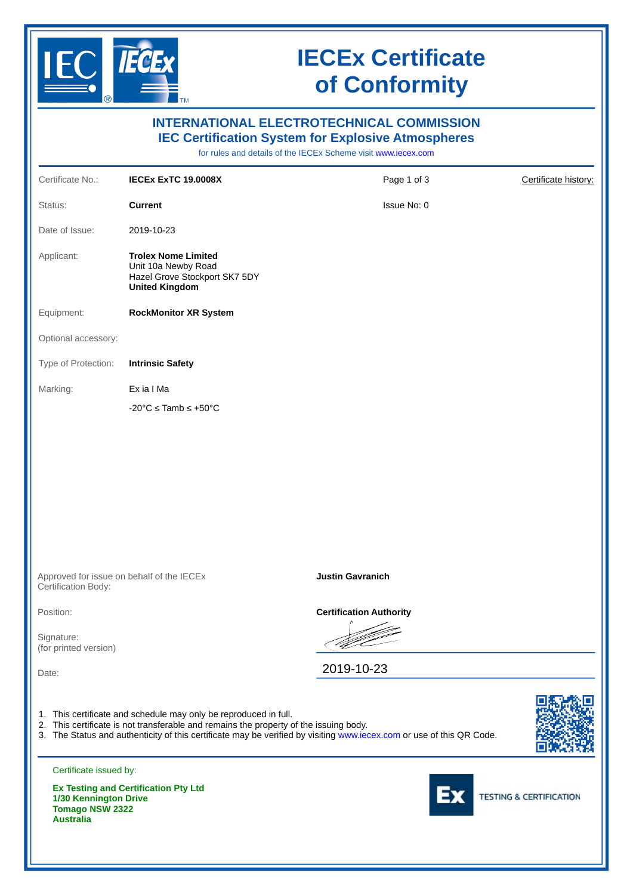

**Australia**

# **IECEx Certificate of Conformity**

| <b>INTERNATIONAL ELECTROTECHNICAL COMMISSION</b><br><b>IEC Certification System for Explosive Atmospheres</b><br>for rules and details of the IECEx Scheme visit www.iecex.com |                                                                                                                                                           |                                                                                                                      |                                    |  |  |  |  |  |
|--------------------------------------------------------------------------------------------------------------------------------------------------------------------------------|-----------------------------------------------------------------------------------------------------------------------------------------------------------|----------------------------------------------------------------------------------------------------------------------|------------------------------------|--|--|--|--|--|
| Certificate No.:                                                                                                                                                               | <b>IECEX EXTC 19.0008X</b>                                                                                                                                | Page 1 of 3                                                                                                          | Certificate history:               |  |  |  |  |  |
| Status:                                                                                                                                                                        | <b>Current</b>                                                                                                                                            | Issue No: 0                                                                                                          |                                    |  |  |  |  |  |
| Date of Issue:                                                                                                                                                                 | 2019-10-23                                                                                                                                                |                                                                                                                      |                                    |  |  |  |  |  |
| Applicant:                                                                                                                                                                     | <b>Trolex Nome Limited</b><br>Unit 10a Newby Road<br>Hazel Grove Stockport SK7 5DY<br><b>United Kingdom</b>                                               |                                                                                                                      |                                    |  |  |  |  |  |
| Equipment:                                                                                                                                                                     | <b>RockMonitor XR System</b>                                                                                                                              |                                                                                                                      |                                    |  |  |  |  |  |
| Optional accessory:                                                                                                                                                            |                                                                                                                                                           |                                                                                                                      |                                    |  |  |  |  |  |
| Type of Protection:                                                                                                                                                            | <b>Intrinsic Safety</b>                                                                                                                                   |                                                                                                                      |                                    |  |  |  |  |  |
| Marking:                                                                                                                                                                       | Ex ia I Ma                                                                                                                                                |                                                                                                                      |                                    |  |  |  |  |  |
|                                                                                                                                                                                | $-20^{\circ}$ C $\leq$ Tamb $\leq$ +50 $^{\circ}$ C                                                                                                       |                                                                                                                      |                                    |  |  |  |  |  |
|                                                                                                                                                                                |                                                                                                                                                           |                                                                                                                      |                                    |  |  |  |  |  |
| Certification Body:                                                                                                                                                            | Approved for issue on behalf of the IECEX                                                                                                                 | <b>Justin Gavranich</b>                                                                                              |                                    |  |  |  |  |  |
| Position:                                                                                                                                                                      |                                                                                                                                                           | <b>Certification Authority</b>                                                                                       |                                    |  |  |  |  |  |
| Signature:<br>(for printed version)                                                                                                                                            |                                                                                                                                                           |                                                                                                                      |                                    |  |  |  |  |  |
| Date:                                                                                                                                                                          |                                                                                                                                                           | 2019-10-23                                                                                                           |                                    |  |  |  |  |  |
|                                                                                                                                                                                | 1. This certificate and schedule may only be reproduced in full.<br>2. This certificate is not transferable and remains the property of the issuing body. | 3. The Status and authenticity of this certificate may be verified by visiting www.iecex.com or use of this QR Code. |                                    |  |  |  |  |  |
| Certificate issued by:                                                                                                                                                         |                                                                                                                                                           |                                                                                                                      |                                    |  |  |  |  |  |
| 1/30 Kennington Drive<br><b>Tomago NSW 2322</b>                                                                                                                                | <b>Ex Testing and Certification Pty Ltd</b>                                                                                                               |                                                                                                                      | <b>TESTING &amp; CERTIFICATION</b> |  |  |  |  |  |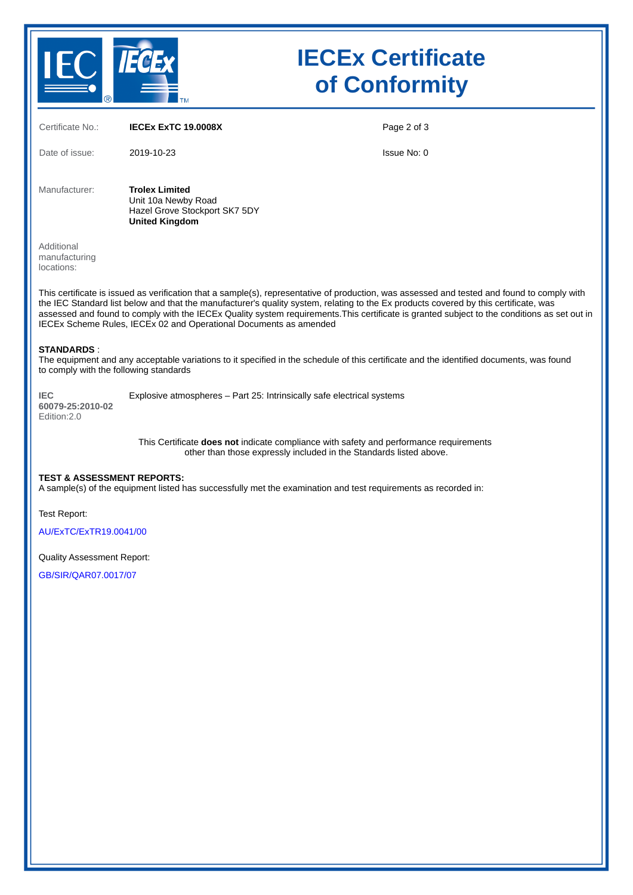

# **IECEx Certificate of Conformity**

| Certificate No.:                                            | <b>IECEX EXTC 19.0008X</b>                                                                                                                                                                                                                                                                                                                                                                                                                                                                               | Page 2 of 3 |
|-------------------------------------------------------------|----------------------------------------------------------------------------------------------------------------------------------------------------------------------------------------------------------------------------------------------------------------------------------------------------------------------------------------------------------------------------------------------------------------------------------------------------------------------------------------------------------|-------------|
| Date of issue:                                              | 2019-10-23                                                                                                                                                                                                                                                                                                                                                                                                                                                                                               | Issue No: 0 |
| Manufacturer:                                               | <b>Trolex Limited</b><br>Unit 10a Newby Road<br>Hazel Grove Stockport SK7 5DY<br><b>United Kingdom</b>                                                                                                                                                                                                                                                                                                                                                                                                   |             |
| Additional<br>manufacturing<br>locations:                   |                                                                                                                                                                                                                                                                                                                                                                                                                                                                                                          |             |
|                                                             | This certificate is issued as verification that a sample(s), representative of production, was assessed and tested and found to comply with<br>the IEC Standard list below and that the manufacturer's quality system, relating to the Ex products covered by this certificate, was<br>assessed and found to comply with the IECEx Quality system requirements. This certificate is granted subject to the conditions as set out in<br>IECEx Scheme Rules, IECEx 02 and Operational Documents as amended |             |
| <b>STANDARDS:</b><br>to comply with the following standards | The equipment and any acceptable variations to it specified in the schedule of this certificate and the identified documents, was found                                                                                                                                                                                                                                                                                                                                                                  |             |
| <b>IEC</b><br>60079-25:2010-02<br>Edition: 2.0              | Explosive atmospheres - Part 25: Intrinsically safe electrical systems                                                                                                                                                                                                                                                                                                                                                                                                                                   |             |
|                                                             | This Certificate does not indicate compliance with safety and performance requirements<br>other than those expressly included in the Standards listed above.                                                                                                                                                                                                                                                                                                                                             |             |
| <b>TEST &amp; ASSESSMENT REPORTS:</b>                       | A sample(s) of the equipment listed has successfully met the examination and test requirements as recorded in:                                                                                                                                                                                                                                                                                                                                                                                           |             |
| Test Report:                                                |                                                                                                                                                                                                                                                                                                                                                                                                                                                                                                          |             |
| AU/ExTC/ExTR19.0041/00                                      |                                                                                                                                                                                                                                                                                                                                                                                                                                                                                                          |             |
| <b>Quality Assessment Report:</b>                           |                                                                                                                                                                                                                                                                                                                                                                                                                                                                                                          |             |
| GB/SIR/QAR07.0017/07                                        |                                                                                                                                                                                                                                                                                                                                                                                                                                                                                                          |             |
|                                                             |                                                                                                                                                                                                                                                                                                                                                                                                                                                                                                          |             |
|                                                             |                                                                                                                                                                                                                                                                                                                                                                                                                                                                                                          |             |
|                                                             |                                                                                                                                                                                                                                                                                                                                                                                                                                                                                                          |             |
|                                                             |                                                                                                                                                                                                                                                                                                                                                                                                                                                                                                          |             |
|                                                             |                                                                                                                                                                                                                                                                                                                                                                                                                                                                                                          |             |
|                                                             |                                                                                                                                                                                                                                                                                                                                                                                                                                                                                                          |             |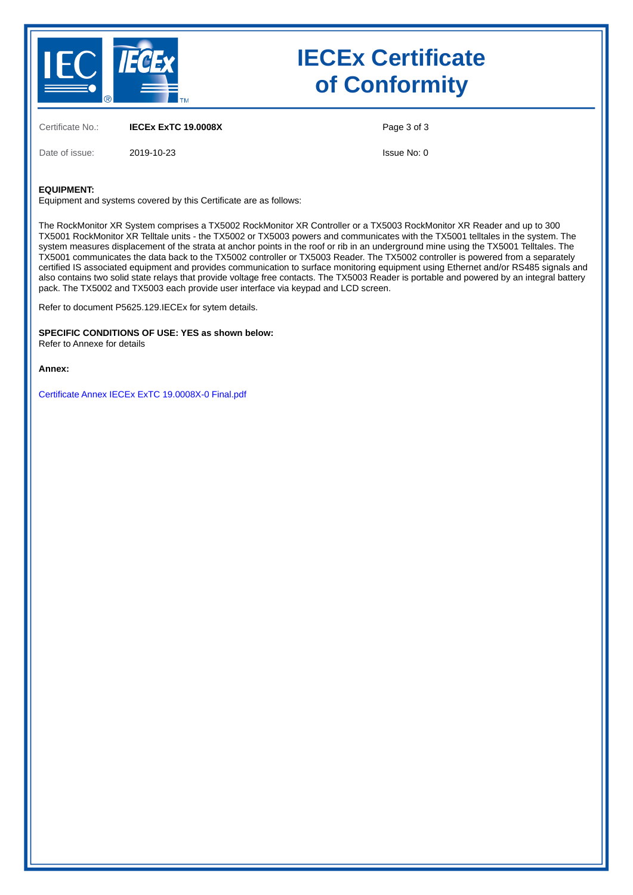

Date of issue: 2019-10-23

# **IECEx Certificate of Conformity**

Certificate No.: **IECEx ExTC 19.0008X**

Page 3 of 3

Issue No: 0

#### **EQUIPMENT:**

Equipment and systems covered by this Certificate are as follows:

The RockMonitor XR System comprises a TX5002 RockMonitor XR Controller or a TX5003 RockMonitor XR Reader and up to 300 TX5001 RockMonitor XR Telltale units - the TX5002 or TX5003 powers and communicates with the TX5001 telltales in the system. The system measures displacement of the strata at anchor points in the roof or rib in an underground mine using the TX5001 Telltales. The TX5001 communicates the data back to the TX5002 controller or TX5003 Reader. The TX5002 controller is powered from a separately certified IS associated equipment and provides communication to surface monitoring equipment using Ethernet and/or RS485 signals and also contains two solid state relays that provide voltage free contacts. The TX5003 Reader is portable and powered by an integral battery pack. The TX5002 and TX5003 each provide user interface via keypad and LCD screen.

Refer to document P5625.129.IECEx for sytem details.

**SPECIFIC CONDITIONS OF USE: YES as shown below:** Refer to Annexe for details

**Annex:**

[Certificate Annex IECEx ExTC 19.0008X-0 Final.pdf](https://www.iecex-certs.com/deliverables/CERT/17524/view)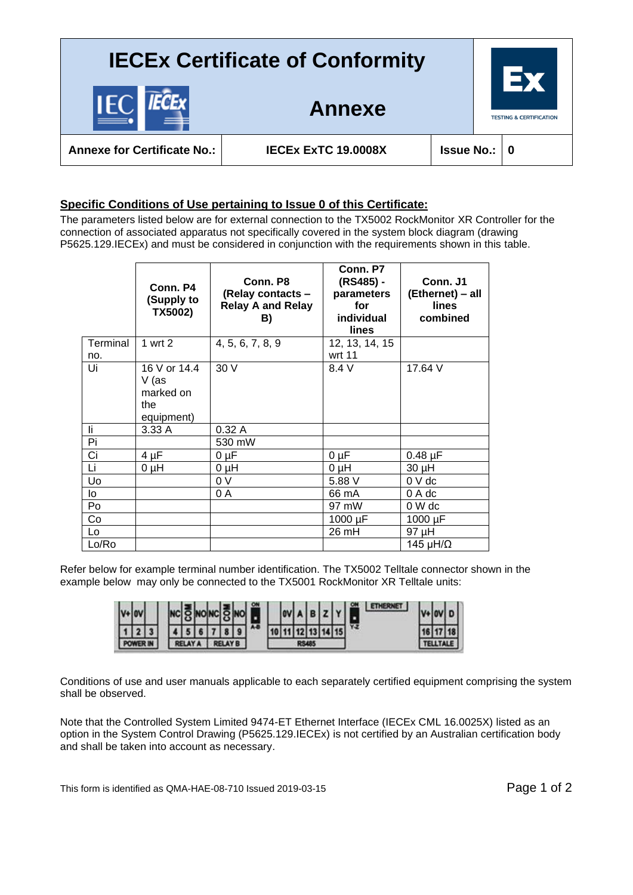## **IECEx Certificate of Conformity**

**Annexe**



**Annexe for Certificate No.: IECEx ExTC 19.0008X Issue No.: 0**

### **Specific Conditions of Use pertaining to Issue 0 of this Certificate:**

The parameters listed below are for external connection to the TX5002 RockMonitor XR Controller for the connection of associated apparatus not specifically covered in the system block diagram (drawing P5625.129.IECEx) and must be considered in conjunction with the requirements shown in this table.

|          | Conn. P4<br>(Supply to<br>TX5002)                       | Conn. P8<br>(Relay contacts -<br><b>Relay A and Relay</b><br>B) | Conn. P7<br>(RS485) -<br>parameters<br>for<br>individual<br>lines | Conn. J1<br>(Ethernet) - all<br>lines<br>combined |
|----------|---------------------------------------------------------|-----------------------------------------------------------------|-------------------------------------------------------------------|---------------------------------------------------|
| Terminal | 1 wrt 2                                                 | 4, 5, 6, 7, 8, 9                                                | 12, 13, 14, 15                                                    |                                                   |
| no.      |                                                         |                                                                 | wrt 11                                                            |                                                   |
| Ui       | 16 V or 14.4<br>V (as<br>marked on<br>the<br>equipment) | 30 V                                                            | 8.4 V                                                             | 17.64 V                                           |
| li       | 3.33A                                                   | 0.32A                                                           |                                                                   |                                                   |
| Pi       |                                                         | 530 mW                                                          |                                                                   |                                                   |
| Ci       | $4 \mu F$                                               | 0 µF                                                            | $0 \mu F$                                                         | $0.48 \mu F$                                      |
| Li       | $0 \mu H$                                               | $0 \mu H$                                                       | $U$ $\mu$                                                         | 30 µH                                             |
| Uo       |                                                         | 0 V                                                             | 5.88 V                                                            | 0 V dc                                            |
| lo       |                                                         | 0 A                                                             | 66 mA                                                             | 0 A dc                                            |
| Po       |                                                         |                                                                 | 97 mW                                                             | 0 W dc                                            |
| Co       |                                                         |                                                                 | 1000 µF                                                           | 1000 µF                                           |
| Lo       |                                                         |                                                                 | 26 mH                                                             | 97 µH                                             |
| Lo/Ro    |                                                         |                                                                 |                                                                   | 145 $\mu$ H/ $\Omega$                             |

Refer below for example terminal number identification. The TX5002 Telltale connector shown in the example below may only be connected to the TX5001 RockMonitor XR Telltale units:

|  |  |  |  |  |  |  |  | 15 I | ŸZ |  |  |
|--|--|--|--|--|--|--|--|------|----|--|--|
|  |  |  |  |  |  |  |  |      |    |  |  |

Conditions of use and user manuals applicable to each separately certified equipment comprising the system shall be observed.

Note that the Controlled System Limited 9474-ET Ethernet Interface (IECEx CML 16.0025X) listed as an option in the System Control Drawing (P5625.129.IECEx) is not certified by an Australian certification body and shall be taken into account as necessary.

This form is identified as QMA-HAE-08-710 Issued 2019-03-15 Page 1 of 2